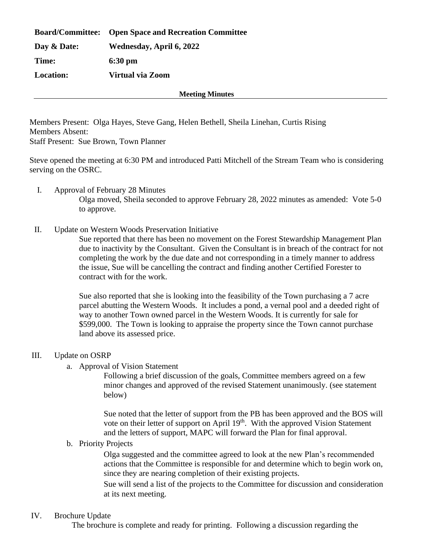|                  | <b>Board/Committee:</b> Open Space and Recreation Committee |
|------------------|-------------------------------------------------------------|
| Day & Date:      | Wednesday, April 6, 2022                                    |
| Time:            | $6:30 \text{ pm}$                                           |
| <b>Location:</b> | Virtual via Zoom                                            |

**Meeting Minutes**

Members Present: Olga Hayes, Steve Gang, Helen Bethell, Sheila Linehan, Curtis Rising Members Absent: Staff Present: Sue Brown, Town Planner

Steve opened the meeting at 6:30 PM and introduced Patti Mitchell of the Stream Team who is considering serving on the OSRC.

- I. Approval of February 28 Minutes Olga moved, Sheila seconded to approve February 28, 2022 minutes as amended: Vote 5-0 to approve.
- II. Update on Western Woods Preservation Initiative

Sue reported that there has been no movement on the Forest Stewardship Management Plan due to inactivity by the Consultant. Given the Consultant is in breach of the contract for not completing the work by the due date and not corresponding in a timely manner to address the issue, Sue will be cancelling the contract and finding another Certified Forester to contract with for the work.

Sue also reported that she is looking into the feasibility of the Town purchasing a 7 acre parcel abutting the Western Woods. It includes a pond, a vernal pool and a deeded right of way to another Town owned parcel in the Western Woods. It is currently for sale for \$599,000. The Town is looking to appraise the property since the Town cannot purchase land above its assessed price.

- III. Update on OSRP
	- a. Approval of Vision Statement

Following a brief discussion of the goals, Committee members agreed on a few minor changes and approved of the revised Statement unanimously. (see statement below)

Sue noted that the letter of support from the PB has been approved and the BOS will vote on their letter of support on April  $19<sup>th</sup>$ . With the approved Vision Statement and the letters of support, MAPC will forward the Plan for final approval.

b. Priority Projects

Olga suggested and the committee agreed to look at the new Plan's recommended actions that the Committee is responsible for and determine which to begin work on, since they are nearing completion of their existing projects.

Sue will send a list of the projects to the Committee for discussion and consideration at its next meeting.

## IV. Brochure Update

The brochure is complete and ready for printing. Following a discussion regarding the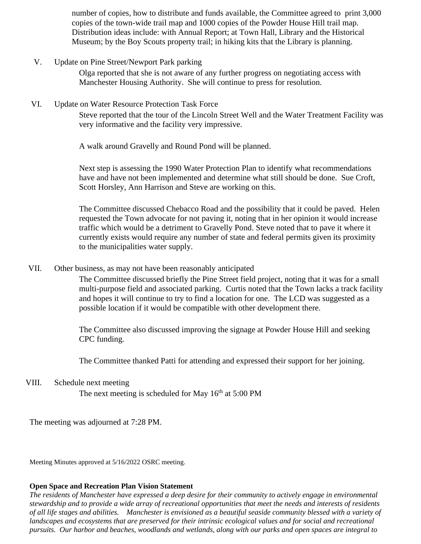number of copies, how to distribute and funds available, the Committee agreed to print 3,000 copies of the town-wide trail map and 1000 copies of the Powder House Hill trail map. Distribution ideas include: with Annual Report; at Town Hall, Library and the Historical Museum; by the Boy Scouts property trail; in hiking kits that the Library is planning.

V. Update on Pine Street/Newport Park parking

Olga reported that she is not aware of any further progress on negotiating access with Manchester Housing Authority. She will continue to press for resolution.

VI. Update on Water Resource Protection Task Force

Steve reported that the tour of the Lincoln Street Well and the Water Treatment Facility was very informative and the facility very impressive.

A walk around Gravelly and Round Pond will be planned.

Next step is assessing the 1990 Water Protection Plan to identify what recommendations have and have not been implemented and determine what still should be done. Sue Croft, Scott Horsley, Ann Harrison and Steve are working on this.

The Committee discussed Chebacco Road and the possibility that it could be paved. Helen requested the Town advocate for not paving it, noting that in her opinion it would increase traffic which would be a detriment to Gravelly Pond. Steve noted that to pave it where it currently exists would require any number of state and federal permits given its proximity to the municipalities water supply.

VII. Other business, as may not have been reasonably anticipated

The Committee discussed briefly the Pine Street field project, noting that it was for a small multi-purpose field and associated parking. Curtis noted that the Town lacks a track facility and hopes it will continue to try to find a location for one. The LCD was suggested as a possible location if it would be compatible with other development there.

The Committee also discussed improving the signage at Powder House Hill and seeking CPC funding.

The Committee thanked Patti for attending and expressed their support for her joining.

VIII. Schedule next meeting

The next meeting is scheduled for May  $16<sup>th</sup>$  at 5:00 PM

The meeting was adjourned at 7:28 PM.

Meeting Minutes approved at 5/16/2022 OSRC meeting.

## **Open Space and Recreation Plan Vision Statement**

*The residents of Manchester have expressed a deep desire for their community to actively engage in environmental stewardship and to provide a wide array of recreational opportunities that meet the needs and interests of residents of all life stages and abilities. Manchester is envisioned as a beautiful seaside community blessed with a variety of*  landscapes and ecosystems that are preserved for their intrinsic ecological values and for social and recreational *pursuits. Our harbor and beaches, woodlands and wetlands, along with our parks and open spaces are integral to*